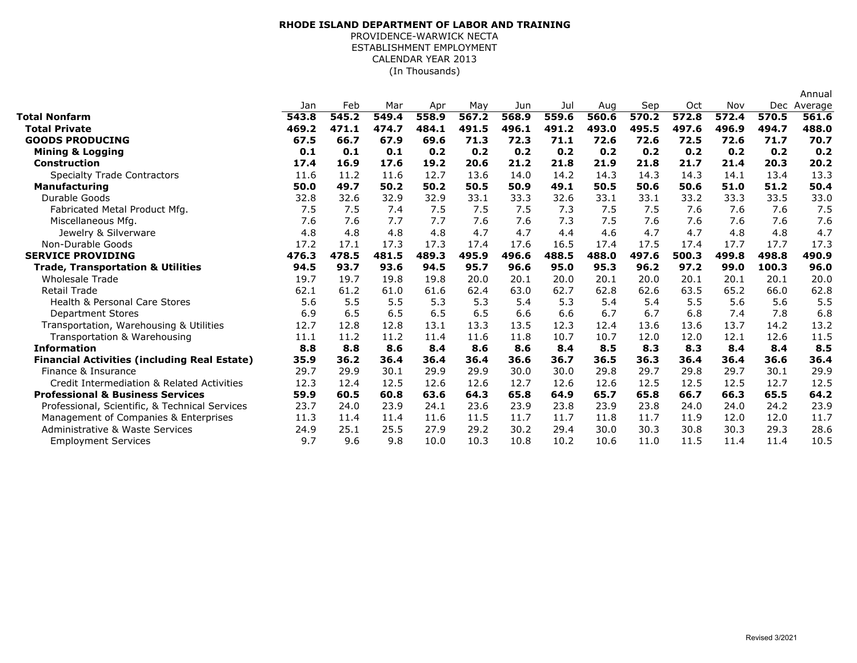## (In Thousands) **RHODE ISLAND DEPARTMENT OF LABOR AND TRAINING** PROVIDENCE-WARWICK NECTA ESTABLISHMENT EMPLOYMENT CALENDAR YEAR 2013

|                                                     |       |       |       |       |       |       |       |       |       |       |       |       | Annual  |
|-----------------------------------------------------|-------|-------|-------|-------|-------|-------|-------|-------|-------|-------|-------|-------|---------|
|                                                     | Jan   | Feb   | Mar   | Apr   | May   | Jun   | Jul   | Aug   | Sep   | Oct   | Nov   | Dec   | Average |
| <b>Total Nonfarm</b>                                | 543.8 | 545.2 | 549.4 | 558.9 | 567.2 | 568.9 | 559.6 | 560.6 | 570.2 | 572.8 | 572.4 | 570.5 | 561.6   |
| <b>Total Private</b>                                | 469.2 | 471.1 | 474.7 | 484.1 | 491.5 | 496.1 | 491.2 | 493.0 | 495.5 | 497.6 | 496.9 | 494.7 | 488.0   |
| <b>GOODS PRODUCING</b>                              | 67.5  | 66.7  | 67.9  | 69.6  | 71.3  | 72.3  | 71.1  | 72.6  | 72.6  | 72.5  | 72.6  | 71.7  | 70.7    |
| <b>Mining &amp; Logging</b>                         | 0.1   | 0.1   | 0.1   | 0.2   | 0.2   | 0.2   | 0.2   | 0.2   | 0.2   | 0.2   | 0.2   | 0.2   | 0.2     |
| <b>Construction</b>                                 | 17.4  | 16.9  | 17.6  | 19.2  | 20.6  | 21.2  | 21.8  | 21.9  | 21.8  | 21.7  | 21.4  | 20.3  | 20.2    |
| <b>Specialty Trade Contractors</b>                  | 11.6  | 11.2  | 11.6  | 12.7  | 13.6  | 14.0  | 14.2  | 14.3  | 14.3  | 14.3  | 14.1  | 13.4  | 13.3    |
| <b>Manufacturing</b>                                | 50.0  | 49.7  | 50.2  | 50.2  | 50.5  | 50.9  | 49.1  | 50.5  | 50.6  | 50.6  | 51.0  | 51.2  | 50.4    |
| Durable Goods                                       | 32.8  | 32.6  | 32.9  | 32.9  | 33.1  | 33.3  | 32.6  | 33.1  | 33.1  | 33.2  | 33.3  | 33.5  | 33.0    |
| Fabricated Metal Product Mfg.                       | 7.5   | 7.5   | 7.4   | 7.5   | 7.5   | 7.5   | 7.3   | 7.5   | 7.5   | 7.6   | 7.6   | 7.6   | 7.5     |
| Miscellaneous Mfg.                                  | 7.6   | 7.6   | 7.7   | 7.7   | 7.6   | 7.6   | 7.3   | 7.5   | 7.6   | 7.6   | 7.6   | 7.6   | 7.6     |
| Jewelry & Silverware                                | 4.8   | 4.8   | 4.8   | 4.8   | 4.7   | 4.7   | 4.4   | 4.6   | 4.7   | 4.7   | 4.8   | 4.8   | 4.7     |
| Non-Durable Goods                                   | 17.2  | 17.1  | 17.3  | 17.3  | 17.4  | 17.6  | 16.5  | 17.4  | 17.5  | 17.4  | 17.7  | 17.7  | 17.3    |
| <b>SERVICE PROVIDING</b>                            | 476.3 | 478.5 | 481.5 | 489.3 | 495.9 | 496.6 | 488.5 | 488.0 | 497.6 | 500.3 | 499.8 | 498.8 | 490.9   |
| <b>Trade, Transportation &amp; Utilities</b>        | 94.5  | 93.7  | 93.6  | 94.5  | 95.7  | 96.6  | 95.0  | 95.3  | 96.2  | 97.2  | 99.0  | 100.3 | 96.0    |
| <b>Wholesale Trade</b>                              | 19.7  | 19.7  | 19.8  | 19.8  | 20.0  | 20.1  | 20.0  | 20.1  | 20.0  | 20.1  | 20.1  | 20.1  | 20.0    |
| <b>Retail Trade</b>                                 | 62.1  | 61.2  | 61.0  | 61.6  | 62.4  | 63.0  | 62.7  | 62.8  | 62.6  | 63.5  | 65.2  | 66.0  | 62.8    |
| <b>Health &amp; Personal Care Stores</b>            | 5.6   | 5.5   | 5.5   | 5.3   | 5.3   | 5.4   | 5.3   | 5.4   | 5.4   | 5.5   | 5.6   | 5.6   | 5.5     |
| <b>Department Stores</b>                            | 6.9   | 6.5   | 6.5   | 6.5   | 6.5   | 6.6   | 6.6   | 6.7   | 6.7   | 6.8   | 7.4   | 7.8   | 6.8     |
| Transportation, Warehousing & Utilities             | 12.7  | 12.8  | 12.8  | 13.1  | 13.3  | 13.5  | 12.3  | 12.4  | 13.6  | 13.6  | 13.7  | 14.2  | 13.2    |
| Transportation & Warehousing                        | 11.1  | 11.2  | 11.2  | 11.4  | 11.6  | 11.8  | 10.7  | 10.7  | 12.0  | 12.0  | 12.1  | 12.6  | 11.5    |
| <b>Information</b>                                  | 8.8   | 8.8   | 8.6   | 8.4   | 8.6   | 8.6   | 8.4   | 8.5   | 8.3   | 8.3   | 8.4   | 8.4   | 8.5     |
| <b>Financial Activities (including Real Estate)</b> | 35.9  | 36.2  | 36.4  | 36.4  | 36.4  | 36.6  | 36.7  | 36.5  | 36.3  | 36.4  | 36.4  | 36.6  | 36.4    |
| Finance & Insurance                                 | 29.7  | 29.9  | 30.1  | 29.9  | 29.9  | 30.0  | 30.0  | 29.8  | 29.7  | 29.8  | 29.7  | 30.1  | 29.9    |
| Credit Intermediation & Related Activities          | 12.3  | 12.4  | 12.5  | 12.6  | 12.6  | 12.7  | 12.6  | 12.6  | 12.5  | 12.5  | 12.5  | 12.7  | 12.5    |
| <b>Professional &amp; Business Services</b>         | 59.9  | 60.5  | 60.8  | 63.6  | 64.3  | 65.8  | 64.9  | 65.7  | 65.8  | 66.7  | 66.3  | 65.5  | 64.2    |
| Professional, Scientific, & Technical Services      | 23.7  | 24.0  | 23.9  | 24.1  | 23.6  | 23.9  | 23.8  | 23.9  | 23.8  | 24.0  | 24.0  | 24.2  | 23.9    |
| Management of Companies & Enterprises               | 11.3  | 11.4  | 11.4  | 11.6  | 11.5  | 11.7  | 11.7  | 11.8  | 11.7  | 11.9  | 12.0  | 12.0  | 11.7    |
| <b>Administrative &amp; Waste Services</b>          | 24.9  | 25.1  | 25.5  | 27.9  | 29.2  | 30.2  | 29.4  | 30.0  | 30.3  | 30.8  | 30.3  | 29.3  | 28.6    |
| <b>Employment Services</b>                          | 9.7   | 9.6   | 9.8   | 10.0  | 10.3  | 10.8  | 10.2  | 10.6  | 11.0  | 11.5  | 11.4  | 11.4  | 10.5    |